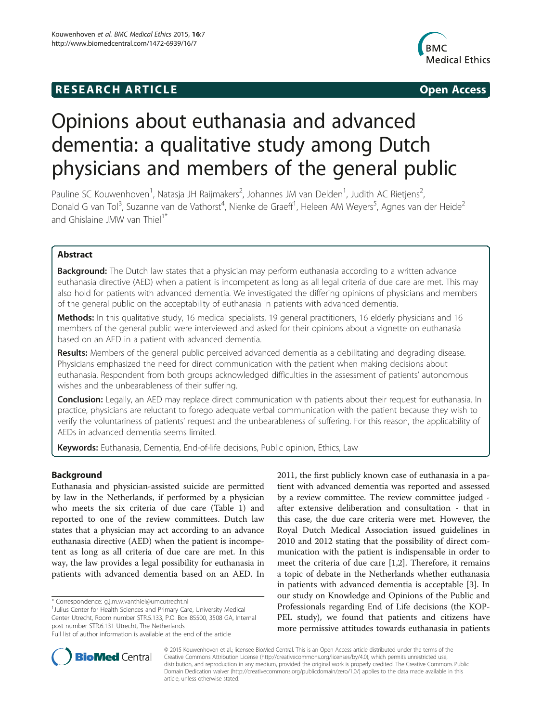# **RESEARCH ARTICLE Example 2014 12:30 The SEAR CHA RESEARCH ARTICLE**



# Opinions about euthanasia and advanced dementia: a qualitative study among Dutch physicians and members of the general public

Pauline SC Kouwenhoven<sup>1</sup>, Natasja JH Raijmakers<sup>2</sup>, Johannes JM van Delden<sup>1</sup>, Judith AC Rietjens<sup>2</sup> , Donald G van Tol<sup>3</sup>, Suzanne van de Vathorst<sup>4</sup>, Nienke de Graeff<sup>1</sup>, Heleen AM Weyers<sup>5</sup>, Agnes van der Heide<sup>2</sup> and Ghislaine JMW van Thiel<sup>1\*</sup>

# Abstract

**Background:** The Dutch law states that a physician may perform euthanasia according to a written advance euthanasia directive (AED) when a patient is incompetent as long as all legal criteria of due care are met. This may also hold for patients with advanced dementia. We investigated the differing opinions of physicians and members of the general public on the acceptability of euthanasia in patients with advanced dementia.

Methods: In this qualitative study, 16 medical specialists, 19 general practitioners, 16 elderly physicians and 16 members of the general public were interviewed and asked for their opinions about a vignette on euthanasia based on an AED in a patient with advanced dementia.

Results: Members of the general public perceived advanced dementia as a debilitating and degrading disease. Physicians emphasized the need for direct communication with the patient when making decisions about euthanasia. Respondent from both groups acknowledged difficulties in the assessment of patients' autonomous wishes and the unbearableness of their suffering.

Conclusion: Legally, an AED may replace direct communication with patients about their request for euthanasia. In practice, physicians are reluctant to forego adequate verbal communication with the patient because they wish to verify the voluntariness of patients' request and the unbearableness of suffering. For this reason, the applicability of AEDs in advanced dementia seems limited.

Keywords: Euthanasia, Dementia, End-of-life decisions, Public opinion, Ethics, Law

# Background

Euthanasia and physician-assisted suicide are permitted by law in the Netherlands, if performed by a physician who meets the six criteria of due care (Table [1](#page-1-0)) and reported to one of the review committees. Dutch law states that a physician may act according to an advance euthanasia directive (AED) when the patient is incompetent as long as all criteria of due care are met. In this way, the law provides a legal possibility for euthanasia in patients with advanced dementia based on an AED. In

\* Correspondence: [g.j.m.w.vanthiel@umcutrecht.nl](mailto:g.j.m.w.vanthiel@umcutrecht.nl) <sup>1</sup>

<sup>1</sup>Julius Center for Health Sciences and Primary Care, University Medical Center Utrecht, Room number STR.5.133, P.O. Box 85500, 3508 GA, Internal post number STR.6.131 Utrecht, The Netherlands Full list of author information is available at the end of the article



© 2015 Kouwenhoven et al.; licensee BioMed Central. This is an Open Access article distributed under the terms of the Creative Commons Attribution License (<http://creativecommons.org/licenses/by/4.0>), which permits unrestricted use, distribution, and reproduction in any medium, provided the original work is properly credited. The Creative Commons Public Domain Dedication waiver [\(http://creativecommons.org/publicdomain/zero/1.0/\)](http://creativecommons.org/publicdomain/zero/1.0/) applies to the data made available in this article, unless otherwise stated.

<sup>2011,</sup> the first publicly known case of euthanasia in a patient with advanced dementia was reported and assessed by a review committee. The review committee judged after extensive deliberation and consultation - that in this case, the due care criteria were met. However, the Royal Dutch Medical Association issued guidelines in 2010 and 2012 stating that the possibility of direct communication with the patient is indispensable in order to meet the criteria of due care [\[1,2](#page-5-0)]. Therefore, it remains a topic of debate in the Netherlands whether euthanasia in patients with advanced dementia is acceptable [\[3\]](#page-5-0). In our study on Knowledge and Opinions of the Public and Professionals regarding End of Life decisions (the KOP-PEL study), we found that patients and citizens have more permissive attitudes towards euthanasia in patients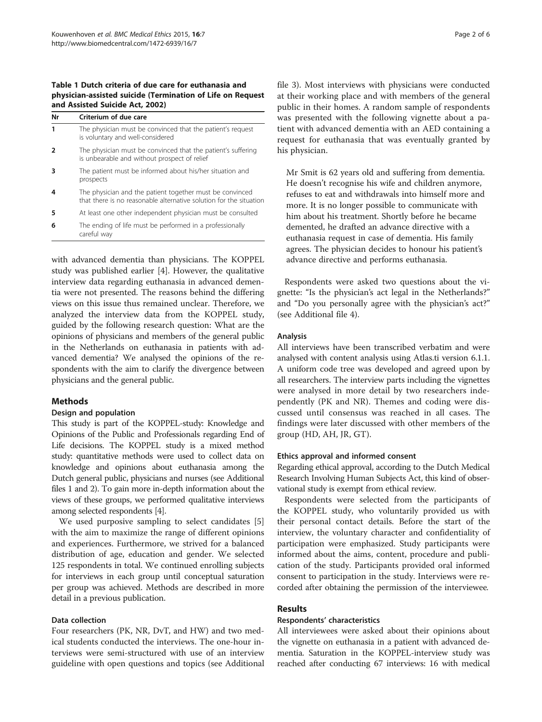<span id="page-1-0"></span>Table 1 Dutch criteria of due care for euthanasia and physician-assisted suicide (Termination of Life on Request and Assisted Suicide Act, 2002)

| Nr | Criterium of due care                                                                                                          |
|----|--------------------------------------------------------------------------------------------------------------------------------|
| 1  | The physician must be convinced that the patient's request<br>is voluntary and well-considered                                 |
| 2  | The physician must be convinced that the patient's suffering<br>is unbearable and without prospect of relief                   |
| 3  | The patient must be informed about his/her situation and<br>prospects                                                          |
| 4  | The physician and the patient together must be convinced<br>that there is no reasonable alternative solution for the situation |
| 5  | At least one other independent physician must be consulted                                                                     |
| 6  | The ending of life must be performed in a professionally<br>careful wav                                                        |

with advanced dementia than physicians. The KOPPEL study was published earlier [\[4](#page-5-0)]. However, the qualitative interview data regarding euthanasia in advanced dementia were not presented. The reasons behind the differing views on this issue thus remained unclear. Therefore, we analyzed the interview data from the KOPPEL study, guided by the following research question: What are the opinions of physicians and members of the general public in the Netherlands on euthanasia in patients with advanced dementia? We analysed the opinions of the respondents with the aim to clarify the divergence between physicians and the general public.

### Methods

### Design and population

This study is part of the KOPPEL-study: Knowledge and Opinions of the Public and Professionals regarding End of Life decisions. The KOPPEL study is a mixed method study: quantitative methods were used to collect data on knowledge and opinions about euthanasia among the Dutch general public, physicians and nurses (see Additional files [1](#page-4-0) and [2\)](#page-4-0). To gain more in-depth information about the views of these groups, we performed qualitative interviews among selected respondents [\[4\]](#page-5-0).

We used purposive sampling to select candidates [\[5](#page-5-0)] with the aim to maximize the range of different opinions and experiences. Furthermore, we strived for a balanced distribution of age, education and gender. We selected 125 respondents in total. We continued enrolling subjects for interviews in each group until conceptual saturation per group was achieved. Methods are described in more detail in a previous publication.

# Data collection

Four researchers (PK, NR, DvT, and HW) and two medical students conducted the interviews. The one-hour interviews were semi-structured with use of an interview guideline with open questions and topics (see Additional file [3\)](#page-4-0). Most interviews with physicians were conducted at their working place and with members of the general public in their homes. A random sample of respondents was presented with the following vignette about a patient with advanced dementia with an AED containing a request for euthanasia that was eventually granted by his physician.

Mr Smit is 62 years old and suffering from dementia. He doesn't recognise his wife and children anymore, refuses to eat and withdrawals into himself more and more. It is no longer possible to communicate with him about his treatment. Shortly before he became demented, he drafted an advance directive with a euthanasia request in case of dementia. His family agrees. The physician decides to honour his patient's advance directive and performs euthanasia.

Respondents were asked two questions about the vignette: "Is the physician's act legal in the Netherlands?" and "Do you personally agree with the physician's act?" (see Additional file [4\)](#page-4-0).

### Analysis

All interviews have been transcribed verbatim and were analysed with content analysis using Atlas.ti version 6.1.1. A uniform code tree was developed and agreed upon by all researchers. The interview parts including the vignettes were analysed in more detail by two researchers independently (PK and NR). Themes and coding were discussed until consensus was reached in all cases. The findings were later discussed with other members of the group (HD, AH, JR, GT).

### Ethics approval and informed consent

Regarding ethical approval, according to the Dutch Medical Research Involving Human Subjects Act, this kind of observational study is exempt from ethical review.

Respondents were selected from the participants of the KOPPEL study, who voluntarily provided us with their personal contact details. Before the start of the interview, the voluntary character and confidentiality of participation were emphasized. Study participants were informed about the aims, content, procedure and publication of the study. Participants provided oral informed consent to participation in the study. Interviews were recorded after obtaining the permission of the interviewee.

# Results

# Respondents' characteristics

All interviewees were asked about their opinions about the vignette on euthanasia in a patient with advanced dementia. Saturation in the KOPPEL-interview study was reached after conducting 67 interviews: 16 with medical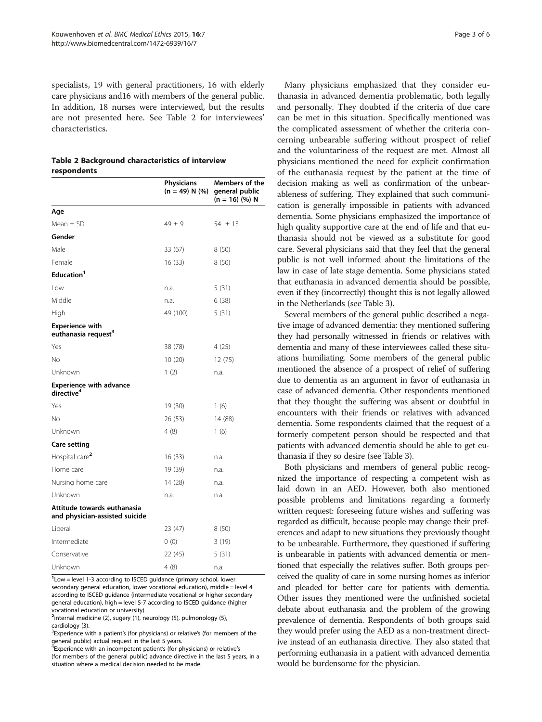specialists, 19 with general practitioners, 16 with elderly care physicians and16 with members of the general public. In addition, 18 nurses were interviewed, but the results are not presented here. See Table 2 for interviewees' characteristics.

| Table 2 Background characteristics of interview |  |
|-------------------------------------------------|--|
| respondents                                     |  |

|                                                               | Physicians<br>$(n = 49) N$ (%) | Members of the<br>general public<br>$(n = 16)$ (%) N |
|---------------------------------------------------------------|--------------------------------|------------------------------------------------------|
| Age                                                           |                                |                                                      |
| Mean $\pm$ SD                                                 | $49 \pm 9$                     | $54 \pm 13$                                          |
| Gender                                                        |                                |                                                      |
| Male                                                          | 33 (67)                        | 8(50)                                                |
| Female                                                        | 16(33)                         | 8(50)                                                |
| Education <sup>1</sup>                                        |                                |                                                      |
| Low                                                           | n.a.                           | 5 (31)                                               |
| Middle                                                        | n.a.                           | 6 (38)                                               |
| High                                                          | 49 (100)                       | 5(31)                                                |
| <b>Experience with</b><br>euthanasia request <sup>3</sup>     |                                |                                                      |
| Yes                                                           | 38 (78)                        | 4 (25)                                               |
| No                                                            | 10(20)                         | 12 (75)                                              |
| Unknown                                                       | 1(2)                           | n.a.                                                 |
| <b>Experience with advance</b><br>directive <sup>4</sup>      |                                |                                                      |
| Yes                                                           | 19 (30)                        | 1(6)                                                 |
| Nο                                                            | 26 (53)                        | 14 (88)                                              |
| Unknown                                                       | 4(8)                           | 1(6)                                                 |
| Care setting                                                  |                                |                                                      |
| Hospital care <sup>2</sup>                                    | 16(33)                         | n.a.                                                 |
| Home care                                                     | 19 (39)                        | n.a.                                                 |
| Nursing home care                                             | 14 (28)                        | n.a.                                                 |
| Unknown                                                       | n.a.                           | n.a.                                                 |
| Attitude towards euthanasia<br>and physician-assisted suicide |                                |                                                      |
| I iberal                                                      | 23 (47)                        | 8(50)                                                |
| Intermediate                                                  | 0(0)                           | 3 (19)                                               |
| Conservative                                                  | 22 (45)                        | 5 (31)                                               |
| Unknown                                                       | 4(8)                           | n.a.                                                 |

<sup>1</sup> Low = level 1-3 according to ISCED guidance (primary school, lower secondary general education, lower vocational education), middle = level 4 according to ISCED guidance (intermediate vocational or higher secondary general education), high = level 5-7 according to ISCED guidance (higher vocational education or university).

<sup>2</sup>internal medicine (2), sugery (1), neurology (5), pulmonology (5), cardiology (3).

<sup>3</sup> Experience with a patient's (for physicians) or relative's (for members of the general public) actual request in the last 5 years.

<sup>4</sup>Experience with an incompetent patient's (for physicians) or relative's (for members of the general public) advance directive in the last 5 years, in a situation where a medical decision needed to be made.

Many physicians emphasized that they consider euthanasia in advanced dementia problematic, both legally and personally. They doubted if the criteria of due care can be met in this situation. Specifically mentioned was the complicated assessment of whether the criteria concerning unbearable suffering without prospect of relief and the voluntariness of the request are met. Almost all physicians mentioned the need for explicit confirmation of the euthanasia request by the patient at the time of decision making as well as confirmation of the unbearableness of suffering. They explained that such communication is generally impossible in patients with advanced dementia. Some physicians emphasized the importance of high quality supportive care at the end of life and that euthanasia should not be viewed as a substitute for good care. Several physicians said that they feel that the general public is not well informed about the limitations of the law in case of late stage dementia. Some physicians stated that euthanasia in advanced dementia should be possible, even if they (incorrectly) thought this is not legally allowed in the Netherlands (see Table [3](#page-3-0)).

Several members of the general public described a negative image of advanced dementia: they mentioned suffering they had personally witnessed in friends or relatives with dementia and many of these interviewees called these situations humiliating. Some members of the general public mentioned the absence of a prospect of relief of suffering due to dementia as an argument in favor of euthanasia in case of advanced dementia. Other respondents mentioned that they thought the suffering was absent or doubtful in encounters with their friends or relatives with advanced dementia. Some respondents claimed that the request of a formerly competent person should be respected and that patients with advanced dementia should be able to get euthanasia if they so desire (see Table [3\)](#page-3-0).

Both physicians and members of general public recognized the importance of respecting a competent wish as laid down in an AED. However, both also mentioned possible problems and limitations regarding a formerly written request: foreseeing future wishes and suffering was regarded as difficult, because people may change their preferences and adapt to new situations they previously thought to be unbearable. Furthermore, they questioned if suffering is unbearable in patients with advanced dementia or mentioned that especially the relatives suffer. Both groups perceived the quality of care in some nursing homes as inferior and pleaded for better care for patients with dementia. Other issues they mentioned were the unfinished societal debate about euthanasia and the problem of the growing prevalence of dementia. Respondents of both groups said they would prefer using the AED as a non-treatment directive instead of an euthanasia directive. They also stated that performing euthanasia in a patient with advanced dementia would be burdensome for the physician.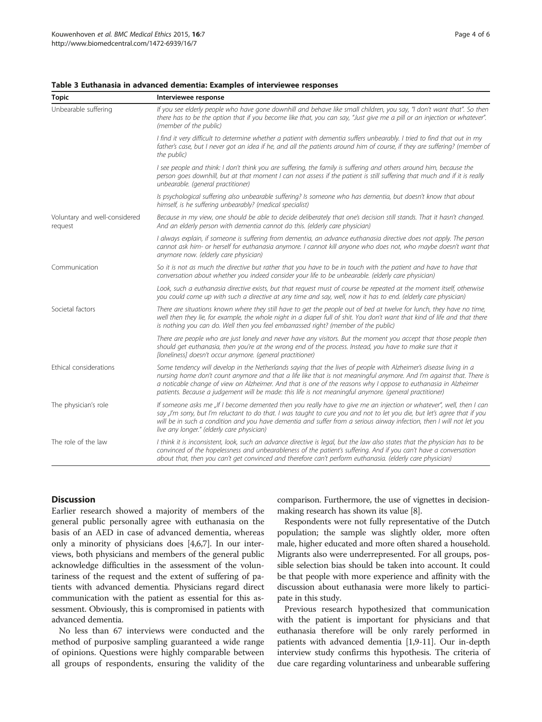<span id="page-3-0"></span>

| <b>Topic</b>                             | Interviewee response                                                                                                                                                                                                                                                                                                                                                                                                                                                     |  |  |
|------------------------------------------|--------------------------------------------------------------------------------------------------------------------------------------------------------------------------------------------------------------------------------------------------------------------------------------------------------------------------------------------------------------------------------------------------------------------------------------------------------------------------|--|--|
| Unbearable suffering                     | If you see elderly people who have gone downhill and behave like small children, you say, "I don't want that". So then<br>there has to be the option that if you become like that, you can say, "Just give me a pill or an injection or whatever".<br>(member of the public)                                                                                                                                                                                             |  |  |
|                                          | I find it very difficult to determine whether a patient with dementia suffers unbearably. I tried to find that out in my<br>father's case, but I never got an idea if he, and all the patients around him of course, if they are suffering? (member of<br>the public)                                                                                                                                                                                                    |  |  |
|                                          | I see people and think: I don't think you are suffering, the family is suffering and others around him, because the<br>person goes downhill, but at that moment I can not assess if the patient is still suffering that much and if it is really<br>unbearable. (general practitioner)                                                                                                                                                                                   |  |  |
|                                          | Is psychological suffering also unbearable suffering? Is someone who has dementia, but doesn't know that about<br>himself, is he suffering unbearably? (medical specialist)                                                                                                                                                                                                                                                                                              |  |  |
| Voluntary and well-considered<br>request | Because in my view, one should be able to decide deliberately that one's decision still stands. That it hasn't changed.<br>And an elderly person with dementia cannot do this. (elderly care physician)                                                                                                                                                                                                                                                                  |  |  |
|                                          | I always explain, if someone is suffering from dementia, an advance euthanasia directive does not apply. The person<br>cannot ask him- or herself for euthanasia anymore. I cannot kill anyone who does not, who maybe doesn't want that<br>anymore now. (elderly care physician)                                                                                                                                                                                        |  |  |
| Communication                            | So it is not as much the directive but rather that you have to be in touch with the patient and have to have that<br>conversation about whether you indeed consider your life to be unbearable. (elderly care physician)                                                                                                                                                                                                                                                 |  |  |
|                                          | Look, such a euthanasia directive exists, but that request must of course be repeated at the moment itself, otherwise<br>you could come up with such a directive at any time and say, well, now it has to end. (elderly care physician)                                                                                                                                                                                                                                  |  |  |
| Societal factors                         | There are situations known where they still have to get the people out of bed at twelve for lunch, they have no time,<br>well then they lie, for example, the whole night in a diaper full of shit. You don't want that kind of life and that there<br>is nothing you can do. Well then you feel embarrassed right? (member of the public)                                                                                                                               |  |  |
|                                          | There are people who are just lonely and never have any visitors. But the moment you accept that those people then<br>should get euthanasia, then you're at the wrong end of the process. Instead, you have to make sure that it<br>[loneliness] doesn't occur anymore. (general practitioner)                                                                                                                                                                           |  |  |
| Ethical considerations                   | Some tendency will develop in the Netherlands saying that the lives of people with Alzheimer's disease living in a<br>nursing home don't count anymore and that a life like that is not meaningful anymore. And I'm against that. There is<br>a noticable change of view on Alzheimer. And that is one of the reasons why I oppose to euthanasia in Alzheimer<br>patients. Because a judgement will be made: this life is not meaningful anymore. (general practitioner) |  |  |
| The physician's role                     | If someone asks me "If I become demented then you really have to give me an injection or whatever", well, then I can<br>say "I'm sorry, but I'm reluctant to do that. I was taught to cure you and not to let you die, but let's agree that if you<br>will be in such a condition and you have dementia and suffer from a serious airway infection, then I will not let you<br>live any longer." (elderly care physician)                                                |  |  |
| The role of the law                      | I think it is inconsistent, look, such an advance directive is legal, but the law also states that the physician has to be<br>convinced of the hopelessness and unbearableness of the patient's suffering. And if you can't have a conversation<br>about that, then you can't get convinced and therefore can't perform euthanasia. (elderly care physician)                                                                                                             |  |  |

### **Discussion**

Earlier research showed a majority of members of the general public personally agree with euthanasia on the basis of an AED in case of advanced dementia, whereas only a minority of physicians does [\[4,6,7\]](#page-5-0). In our interviews, both physicians and members of the general public acknowledge difficulties in the assessment of the voluntariness of the request and the extent of suffering of patients with advanced dementia. Physicians regard direct communication with the patient as essential for this assessment. Obviously, this is compromised in patients with advanced dementia.

No less than 67 interviews were conducted and the method of purposive sampling guaranteed a wide range of opinions. Questions were highly comparable between all groups of respondents, ensuring the validity of the comparison. Furthermore, the use of vignettes in decisionmaking research has shown its value [\[8](#page-5-0)].

Respondents were not fully representative of the Dutch population; the sample was slightly older, more often male, higher educated and more often shared a household. Migrants also were underrepresented. For all groups, possible selection bias should be taken into account. It could be that people with more experience and affinity with the discussion about euthanasia were more likely to participate in this study.

Previous research hypothesized that communication with the patient is important for physicians and that euthanasia therefore will be only rarely performed in patients with advanced dementia [\[1,9-11\]](#page-5-0). Our in-depth interview study confirms this hypothesis. The criteria of due care regarding voluntariness and unbearable suffering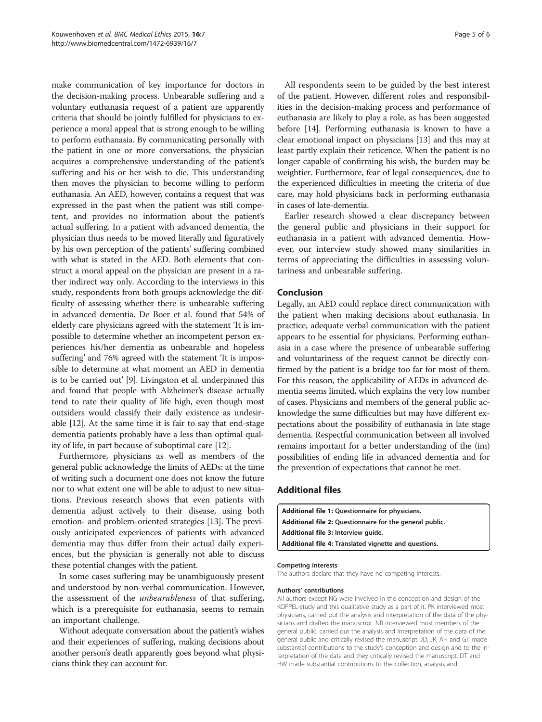<span id="page-4-0"></span>make communication of key importance for doctors in the decision-making process. Unbearable suffering and a voluntary euthanasia request of a patient are apparently criteria that should be jointly fulfilled for physicians to experience a moral appeal that is strong enough to be willing to perform euthanasia. By communicating personally with the patient in one or more conversations, the physician acquires a comprehensive understanding of the patient's suffering and his or her wish to die. This understanding then moves the physician to become willing to perform euthanasia. An AED, however, contains a request that was expressed in the past when the patient was still competent, and provides no information about the patient's actual suffering. In a patient with advanced dementia, the physician thus needs to be moved literally and figuratively by his own perception of the patients' suffering combined with what is stated in the AED. Both elements that construct a moral appeal on the physician are present in a rather indirect way only. According to the interviews in this study, respondents from both groups acknowledge the difficulty of assessing whether there is unbearable suffering in advanced dementia. De Boer et al. found that 54% of elderly care physicians agreed with the statement 'It is impossible to determine whether an incompetent person experiences his/her dementia as unbearable and hopeless suffering' and 76% agreed with the statement 'It is impossible to determine at what moment an AED in dementia is to be carried out' [[9](#page-5-0)]. Livingston et al. underpinned this and found that people with Alzheimer's disease actually tend to rate their quality of life high, even though most outsiders would classify their daily existence as undesirable [\[12\]](#page-5-0). At the same time it is fair to say that end-stage dementia patients probably have a less than optimal quality of life, in part because of suboptimal care [\[12\]](#page-5-0).

Furthermore, physicians as well as members of the general public acknowledge the limits of AEDs: at the time of writing such a document one does not know the future nor to what extent one will be able to adjust to new situations. Previous research shows that even patients with dementia adjust actively to their disease, using both emotion- and problem-oriented strategies [\[13](#page-5-0)]. The previously anticipated experiences of patients with advanced dementia may thus differ from their actual daily experiences, but the physician is generally not able to discuss these potential changes with the patient.

In some cases suffering may be unambiguously present and understood by non-verbal communication. However, the assessment of the unbearableness of that suffering, which is a prerequisite for euthanasia, seems to remain an important challenge.

Without adequate conversation about the patient's wishes and their experiences of suffering, making decisions about another person's death apparently goes beyond what physicians think they can account for.

All respondents seem to be guided by the best interest of the patient. However, different roles and responsibilities in the decision-making process and performance of euthanasia are likely to play a role, as has been suggested before [[14](#page-5-0)]. Performing euthanasia is known to have a clear emotional impact on physicians [\[13](#page-5-0)] and this may at least partly explain their reticence. When the patient is no longer capable of confirming his wish, the burden may be weightier. Furthermore, fear of legal consequences, due to the experienced difficulties in meeting the criteria of due care, may hold physicians back in performing euthanasia in cases of late-dementia.

Earlier research showed a clear discrepancy between the general public and physicians in their support for euthanasia in a patient with advanced dementia. However, our interview study showed many similarities in terms of appreciating the difficulties in assessing voluntariness and unbearable suffering.

# Conclusion

Legally, an AED could replace direct communication with the patient when making decisions about euthanasia. In practice, adequate verbal communication with the patient appears to be essential for physicians. Performing euthanasia in a case where the presence of unbearable suffering and voluntariness of the request cannot be directly confirmed by the patient is a bridge too far for most of them. For this reason, the applicability of AEDs in advanced dementia seems limited, which explains the very low number of cases. Physicians and members of the general public acknowledge the same difficulties but may have different expectations about the possibility of euthanasia in late stage dementia. Respectful communication between all involved remains important for a better understanding of the (im) possibilities of ending life in advanced dementia and for the prevention of expectations that cannot be met.

### Additional files

[Additional file 1:](http://www.biomedcentral.com/content/supplementary/1472-6939-16-7-S1.pdf) Questionnaire for physicians. [Additional file 2:](http://www.biomedcentral.com/content/supplementary/1472-6939-16-7-S2.pdf) Questionnaire for the general public. [Additional file 3:](http://www.biomedcentral.com/content/supplementary/1472-6939-16-7-S3.pdf) Interview guide. [Additional file 4:](http://www.biomedcentral.com/content/supplementary/1472-6939-16-7-S4.docx) Translated vignette and questions.

#### Competing interests

The authors declare that they have no competing interests.

#### Authors' contributions

All authors except NG were involved in the conception and design of the KOPPEL-study and this qualitative study as a part of it. PK interviewed most physicians, carried out the analysis and interpretation of the data of the physicians and drafted the manuscript. NR interviewed most members of the general public, carried out the analysis and interpretation of the data of the general public and critically revised the manuscript. JD, JR, AH and GT made substantial contributions to the study's conception and design and to the interpretation of the data and they critically revised the manuscript. DT and HW made substantial contributions to the collection, analysis and